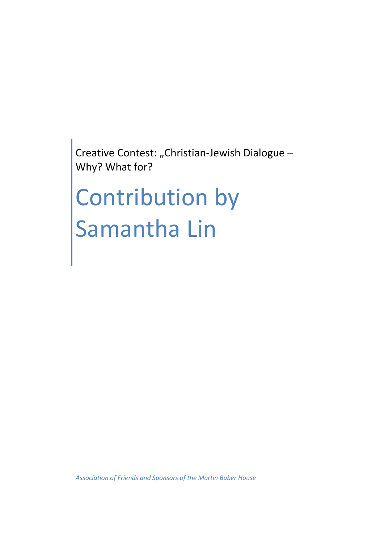Creative Contest: "Christian-Jewish Dialogue -Why? What for?

## Contribution by Samantha Lin

*Association of Friends and Sponsors of the Martin Buber House*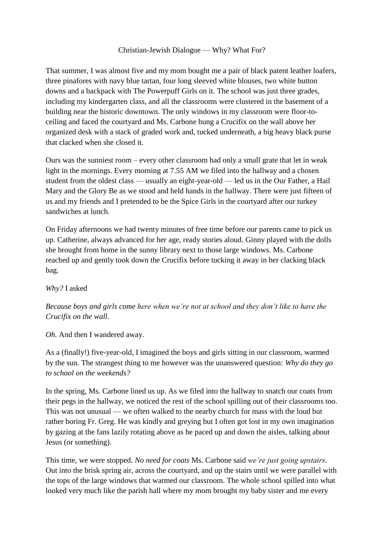## Christian-Jewish Dialogue — Why? What For?

That summer, I was almost five and my mom bought me a pair of black patent leather loafers, three pinafores with navy blue tartan, four long sleeved white blouses, two white button downs and a backpack with The Powerpuff Girls on it. The school was just three grades, including my kindergarten class, and all the classrooms were clustered in the basement of a building near the historic downtown. The only windows in my classroom were floor-toceiling and faced the courtyard and Ms. Carbone hung a Crucifix on the wall above her organized desk with a stack of graded work and, tucked underneath, a big heavy black purse that clacked when she closed it.

Ours was the sunniest room – every other classroom had only a small grate that let in weak light in the mornings. Every morning at 7.55 AM we filed into the hallway and a chosen student from the oldest class — usually an eight-year-old — led us in the Our Father, a Hail Mary and the Glory Be as we stood and held hands in the hallway. There were just fifteen of us and my friends and I pretended to be the Spice Girls in the courtyard after our turkey sandwiches at lunch.

On Friday afternoons we had twenty minutes of free time before our parents came to pick us up. Catherine, always advanced for her age, ready stories aloud. Ginny played with the dolls she brought from home in the sunny library next to those large windows. Ms. Carbone reached up and gently took down the Crucifix before tucking it away in her clacking black bag.

*Why?* I asked

*Because boys and girls come here when we're not at school and they don't like to have the Crucifix on the wall.*

*Oh.* And then I wandered away.

As a (finally!) five-year-old, I imagined the boys and girls sitting in our classroom, warmed by the sun. The strangest thing to me however was the unanswered question: *Why do they go to school on the weekends?*

In the spring, Ms. Carbone lined us up. As we filed into the hallway to snatch our coats from their pegs in the hallway, we noticed the rest of the school spilling out of their classrooms too. This was not unusual — we often walked to the nearby church for mass with the loud but rather boring Fr. Greg. He was kindly and greying but I often got lost in my own imagination by gazing at the fans lazily rotating above as he paced up and down the aisles, talking about Jesus (or something).

This time, we were stopped. *No need for coats* Ms. Carbone said *we're just going upstairs*. Out into the brisk spring air, across the courtyard, and up the stairs until we were parallel with the tops of the large windows that warmed our classroom. The whole school spilled into what looked very much like the parish hall where my mom brought my baby sister and me every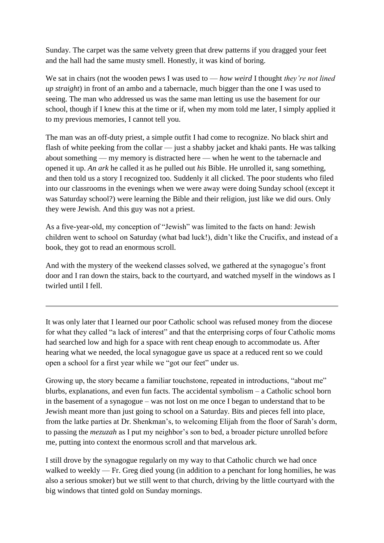Sunday. The carpet was the same velvety green that drew patterns if you dragged your feet and the hall had the same musty smell. Honestly, it was kind of boring.

We sat in chairs (not the wooden pews I was used to — *how weird* I thought *they're not lined up straight*) in front of an ambo and a tabernacle, much bigger than the one I was used to seeing. The man who addressed us was the same man letting us use the basement for our school, though if I knew this at the time or if, when my mom told me later, I simply applied it to my previous memories, I cannot tell you.

The man was an off-duty priest, a simple outfit I had come to recognize. No black shirt and flash of white peeking from the collar — just a shabby jacket and khaki pants. He was talking about something — my memory is distracted here — when he went to the tabernacle and opened it up. *An ark* he called it as he pulled out *his* Bible. He unrolled it, sang something, and then told us a story I recognized too. Suddenly it all clicked. The poor students who filed into our classrooms in the evenings when we were away were doing Sunday school (except it was Saturday school?) were learning the Bible and their religion, just like we did ours. Only they were Jewish. And this guy was not a priest.

As a five-year-old, my conception of "Jewish" was limited to the facts on hand: Jewish children went to school on Saturday (what bad luck!), didn't like the Crucifix, and instead of a book, they got to read an enormous scroll.

And with the mystery of the weekend classes solved, we gathered at the synagogue's front door and I ran down the stairs, back to the courtyard, and watched myself in the windows as I twirled until I fell.

It was only later that I learned our poor Catholic school was refused money from the diocese for what they called "a lack of interest" and that the enterprising corps of four Catholic moms had searched low and high for a space with rent cheap enough to accommodate us. After hearing what we needed, the local synagogue gave us space at a reduced rent so we could open a school for a first year while we "got our feet" under us.

Growing up, the story became a familiar touchstone, repeated in introductions, "about me" blurbs, explanations, and even fun facts. The accidental symbolism – a Catholic school born in the basement of a synagogue – was not lost on me once I began to understand that to be Jewish meant more than just going to school on a Saturday. Bits and pieces fell into place, from the latke parties at Dr. Shenkman's, to welcoming Elijah from the floor of Sarah's dorm, to passing the *mezuzah* as I put my neighbor's son to bed, a broader picture unrolled before me, putting into context the enormous scroll and that marvelous ark.

I still drove by the synagogue regularly on my way to that Catholic church we had once walked to weekly — Fr. Greg died young (in addition to a penchant for long homilies, he was also a serious smoker) but we still went to that church, driving by the little courtyard with the big windows that tinted gold on Sunday mornings.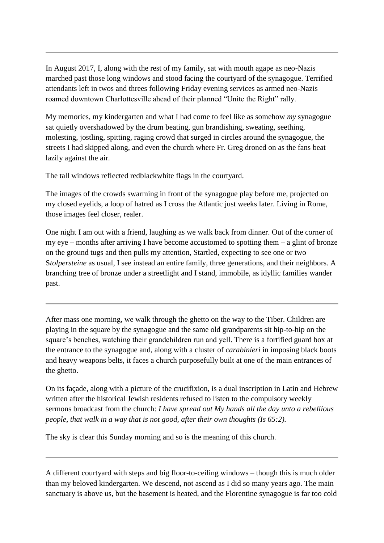In August 2017, I, along with the rest of my family, sat with mouth agape as neo-Nazis marched past those long windows and stood facing the courtyard of the synagogue. Terrified attendants left in twos and threes following Friday evening services as armed neo-Nazis roamed downtown Charlottesville ahead of their planned "Unite the Right" rally.

My memories, my kindergarten and what I had come to feel like as somehow *my* synagogue sat quietly overshadowed by the drum beating, gun brandishing, sweating, seething, molesting, jostling, spitting, raging crowd that surged in circles around the synagogue, the streets I had skipped along, and even the church where Fr. Greg droned on as the fans beat lazily against the air.

The tall windows reflected redblackwhite flags in the courtyard.

The images of the crowds swarming in front of the synagogue play before me, projected on my closed eyelids, a loop of hatred as I cross the Atlantic just weeks later. Living in Rome, those images feel closer, realer.

One night I am out with a friend, laughing as we walk back from dinner. Out of the corner of my eye – months after arriving I have become accustomed to spotting them  $-$  a glint of bronze on the ground tugs and then pulls my attention, Startled, expecting to see one or two S*tolpersteine* as usual, I see instead an entire family, three generations, and their neighbors. A branching tree of bronze under a streetlight and I stand, immobile, as idyllic families wander past.

After mass one morning, we walk through the ghetto on the way to the Tiber. Children are playing in the square by the synagogue and the same old grandparents sit hip-to-hip on the square's benches, watching their grandchildren run and yell. There is a fortified guard box at the entrance to the synagogue and, along with a cluster of *carabinieri* in imposing black boots and heavy weapons belts, it faces a church purposefully built at one of the main entrances of the ghetto.

On its façade, along with a picture of the crucifixion, is a dual inscription in Latin and Hebrew written after the historical Jewish residents refused to listen to the compulsory weekly sermons broadcast from the church: *I have spread out My hands all the day unto a rebellious people, that walk in a way that is not good, after their own thoughts (Is 65:2).*

The sky is clear this Sunday morning and so is the meaning of this church.

A different courtyard with steps and big floor-to-ceiling windows – though this is much older than my beloved kindergarten. We descend, not ascend as I did so many years ago. The main sanctuary is above us, but the basement is heated, and the Florentine synagogue is far too cold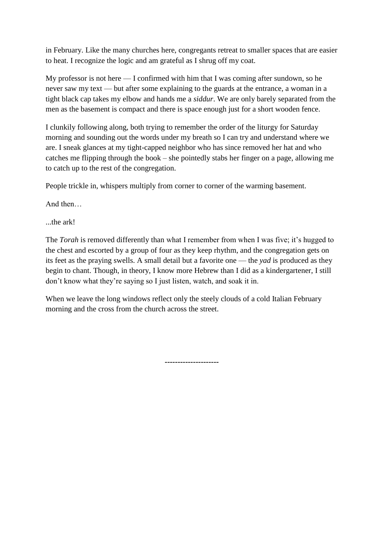in February. Like the many churches here, congregants retreat to smaller spaces that are easier to heat. I recognize the logic and am grateful as I shrug off my coat.

My professor is not here — I confirmed with him that I was coming after sundown, so he never saw my text — but after some explaining to the guards at the entrance, a woman in a tight black cap takes my elbow and hands me a *siddur*. We are only barely separated from the men as the basement is compact and there is space enough just for a short wooden fence.

I clunkily following along, both trying to remember the order of the liturgy for Saturday morning and sounding out the words under my breath so I can try and understand where we are. I sneak glances at my tight-capped neighbor who has since removed her hat and who catches me flipping through the book – she pointedly stabs her finger on a page, allowing me to catch up to the rest of the congregation.

People trickle in, whispers multiply from corner to corner of the warming basement.

And then…

...the ark!

The *Torah* is removed differently than what I remember from when I was five; it's hugged to the chest and escorted by a group of four as they keep rhythm, and the congregation gets on its feet as the praying swells. A small detail but a favorite one — the *yad* is produced as they begin to chant. Though, in theory, I know more Hebrew than I did as a kindergartener, I still don't know what they're saying so I just listen, watch, and soak it in.

When we leave the long windows reflect only the steely clouds of a cold Italian February morning and the cross from the church across the street.

*---------------------*